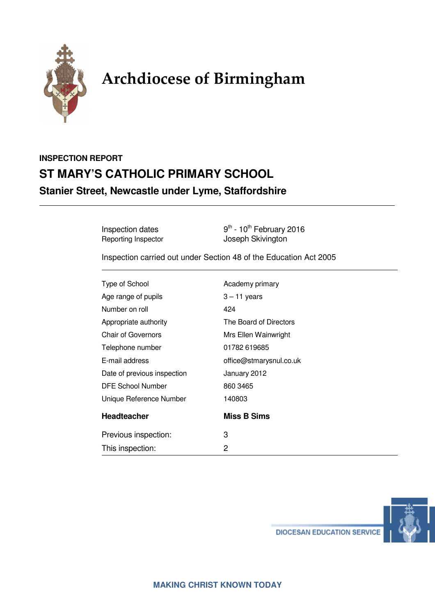

# **Archdiocese of Birmingham**

# **INSPECTION REPORT ST MARY'S CATHOLIC PRIMARY SCHOOL Stanier Street, Newcastle under Lyme, Staffordshire**

Inspection dates  $9<sup>th</sup> - 10<sup>th</sup>$  February 2016 Reporting Inspector **Contact School** Joseph Skivington

Inspection carried out under Section 48 of the Education Act 2005

| Type of School              | Academy primary         |
|-----------------------------|-------------------------|
| Age range of pupils         | $3 - 11$ years          |
| Number on roll              | 424                     |
| Appropriate authority       | The Board of Directors  |
| <b>Chair of Governors</b>   | Mrs Ellen Wainwright    |
| Telephone number            | 01782 619685            |
| E-mail address              | office@stmarysnul.co.uk |
| Date of previous inspection | January 2012            |
| DFE School Number           | 860 3465                |
| Unique Reference Number     | 140803                  |
| <b>Headteacher</b>          | <b>Miss B Sims</b>      |
| Previous inspection:        | 3                       |
| This inspection:            | 2                       |
|                             |                         |



**DIOCESAN EDUCATION SERVICE**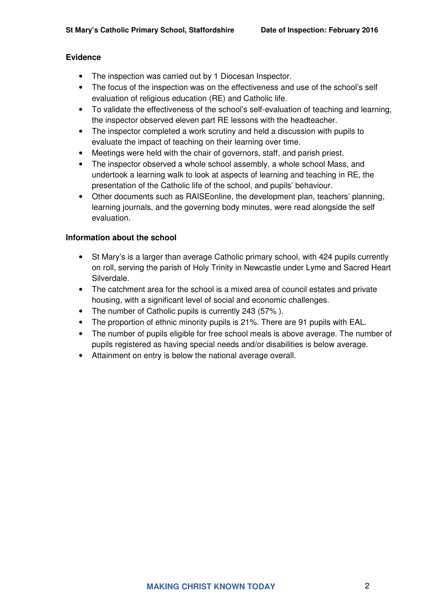## **Evidence**

- The inspection was carried out by 1 Diocesan Inspector.
- The focus of the inspection was on the effectiveness and use of the school's self evaluation of religious education (RE) and Catholic life.
- To validate the effectiveness of the school's self-evaluation of teaching and learning, the inspector observed eleven part RE lessons with the headteacher.
- The inspector completed a work scrutiny and held a discussion with pupils to evaluate the impact of teaching on their learning over time.
- Meetings were held with the chair of governors, staff, and parish priest.
- The inspector observed a whole school assembly, a whole school Mass, and undertook a learning walk to look at aspects of learning and teaching in RE, the presentation of the Catholic life of the school, and pupils' behaviour.
- Other documents such as RAISEonline, the development plan, teachers' planning, learning journals, and the governing body minutes, were read alongside the self evaluation.

## **Information about the school**

- St Mary's is a larger than average Catholic primary school, with 424 pupils currently on roll, serving the parish of Holy Trinity in Newcastle under Lyme and Sacred Heart Silverdale.
- The catchment area for the school is a mixed area of council estates and private housing, with a significant level of social and economic challenges.
- The number of Catholic pupils is currently 243 (57%).
- The proportion of ethnic minority pupils is 21%. There are 91 pupils with EAL.
- The number of pupils eligible for free school meals is above average. The number of pupils registered as having special needs and/or disabilities is below average.
- Attainment on entry is below the national average overall.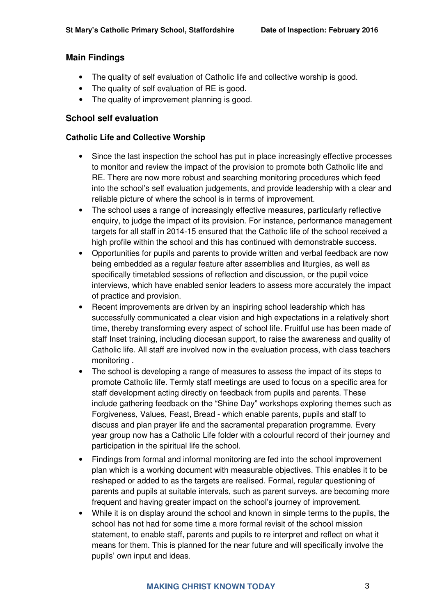# **Main Findings**

- The quality of self evaluation of Catholic life and collective worship is good.
- The quality of self evaluation of RE is good.
- The quality of improvement planning is good.

# **School self evaluation**

#### **Catholic Life and Collective Worship**

- Since the last inspection the school has put in place increasingly effective processes to monitor and review the impact of the provision to promote both Catholic life and RE. There are now more robust and searching monitoring procedures which feed into the school's self evaluation judgements, and provide leadership with a clear and reliable picture of where the school is in terms of improvement.
- The school uses a range of increasingly effective measures, particularly reflective enquiry, to judge the impact of its provision. For instance, performance management targets for all staff in 2014-15 ensured that the Catholic life of the school received a high profile within the school and this has continued with demonstrable success.
- Opportunities for pupils and parents to provide written and verbal feedback are now being embedded as a regular feature after assemblies and liturgies, as well as specifically timetabled sessions of reflection and discussion, or the pupil voice interviews, which have enabled senior leaders to assess more accurately the impact of practice and provision.
- Recent improvements are driven by an inspiring school leadership which has successfully communicated a clear vision and high expectations in a relatively short time, thereby transforming every aspect of school life. Fruitful use has been made of staff Inset training, including diocesan support, to raise the awareness and quality of Catholic life. All staff are involved now in the evaluation process, with class teachers monitoring .
- The school is developing a range of measures to assess the impact of its steps to promote Catholic life. Termly staff meetings are used to focus on a specific area for staff development acting directly on feedback from pupils and parents. These include gathering feedback on the "Shine Day" workshops exploring themes such as Forgiveness, Values, Feast, Bread - which enable parents, pupils and staff to discuss and plan prayer life and the sacramental preparation programme. Every year group now has a Catholic Life folder with a colourful record of their journey and participation in the spiritual life the school.
- Findings from formal and informal monitoring are fed into the school improvement plan which is a working document with measurable objectives. This enables it to be reshaped or added to as the targets are realised. Formal, regular questioning of parents and pupils at suitable intervals, such as parent surveys, are becoming more frequent and having greater impact on the school's journey of improvement.
- While it is on display around the school and known in simple terms to the pupils, the school has not had for some time a more formal revisit of the school mission statement, to enable staff, parents and pupils to re interpret and reflect on what it means for them. This is planned for the near future and will specifically involve the pupils' own input and ideas.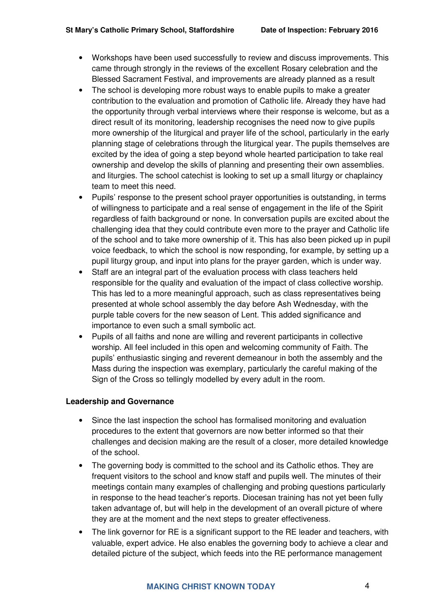- Workshops have been used successfully to review and discuss improvements. This came through strongly in the reviews of the excellent Rosary celebration and the Blessed Sacrament Festival, and improvements are already planned as a result
- The school is developing more robust ways to enable pupils to make a greater contribution to the evaluation and promotion of Catholic life. Already they have had the opportunity through verbal interviews where their response is welcome, but as a direct result of its monitoring, leadership recognises the need now to give pupils more ownership of the liturgical and prayer life of the school, particularly in the early planning stage of celebrations through the liturgical year. The pupils themselves are excited by the idea of going a step beyond whole hearted participation to take real ownership and develop the skills of planning and presenting their own assemblies. and liturgies. The school catechist is looking to set up a small liturgy or chaplaincy team to meet this need.
- Pupils' response to the present school prayer opportunities is outstanding, in terms of willingness to participate and a real sense of engagement in the life of the Spirit regardless of faith background or none. In conversation pupils are excited about the challenging idea that they could contribute even more to the prayer and Catholic life of the school and to take more ownership of it. This has also been picked up in pupil voice feedback, to which the school is now responding, for example, by setting up a pupil liturgy group, and input into plans for the prayer garden, which is under way.
- Staff are an integral part of the evaluation process with class teachers held responsible for the quality and evaluation of the impact of class collective worship. This has led to a more meaningful approach, such as class representatives being presented at whole school assembly the day before Ash Wednesday, with the purple table covers for the new season of Lent. This added significance and importance to even such a small symbolic act.
- Pupils of all faiths and none are willing and reverent participants in collective worship. All feel included in this open and welcoming community of Faith. The pupils' enthusiastic singing and reverent demeanour in both the assembly and the Mass during the inspection was exemplary, particularly the careful making of the Sign of the Cross so tellingly modelled by every adult in the room.

#### **Leadership and Governance**

- Since the last inspection the school has formalised monitoring and evaluation procedures to the extent that governors are now better informed so that their challenges and decision making are the result of a closer, more detailed knowledge of the school.
- The governing body is committed to the school and its Catholic ethos. They are frequent visitors to the school and know staff and pupils well. The minutes of their meetings contain many examples of challenging and probing questions particularly in response to the head teacher's reports. Diocesan training has not yet been fully taken advantage of, but will help in the development of an overall picture of where they are at the moment and the next steps to greater effectiveness.
- The link governor for RE is a significant support to the RE leader and teachers, with valuable, expert advice. He also enables the governing body to achieve a clear and detailed picture of the subject, which feeds into the RE performance management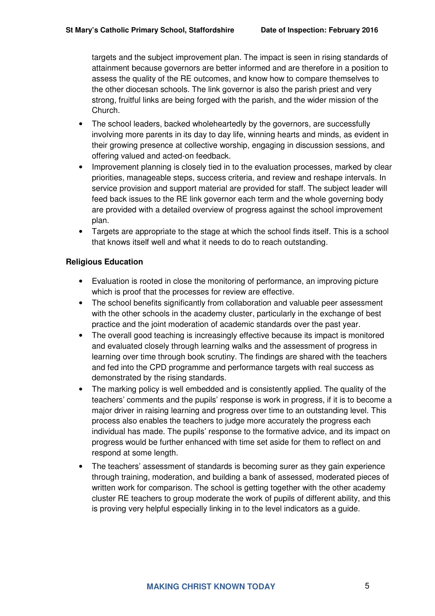targets and the subject improvement plan. The impact is seen in rising standards of attainment because governors are better informed and are therefore in a position to assess the quality of the RE outcomes, and know how to compare themselves to the other diocesan schools. The link governor is also the parish priest and very strong, fruitful links are being forged with the parish, and the wider mission of the Church.

- The school leaders, backed wholeheartedly by the governors, are successfully involving more parents in its day to day life, winning hearts and minds, as evident in their growing presence at collective worship, engaging in discussion sessions, and offering valued and acted-on feedback.
- Improvement planning is closely tied in to the evaluation processes, marked by clear priorities, manageable steps, success criteria, and review and reshape intervals. In service provision and support material are provided for staff. The subject leader will feed back issues to the RE link governor each term and the whole governing body are provided with a detailed overview of progress against the school improvement plan.
- Targets are appropriate to the stage at which the school finds itself. This is a school that knows itself well and what it needs to do to reach outstanding.

#### **Religious Education**

- Evaluation is rooted in close the monitoring of performance, an improving picture which is proof that the processes for review are effective.
- The school benefits significantly from collaboration and valuable peer assessment with the other schools in the academy cluster, particularly in the exchange of best practice and the joint moderation of academic standards over the past year.
- The overall good teaching is increasingly effective because its impact is monitored and evaluated closely through learning walks and the assessment of progress in learning over time through book scrutiny. The findings are shared with the teachers and fed into the CPD programme and performance targets with real success as demonstrated by the rising standards.
- The marking policy is well embedded and is consistently applied. The quality of the teachers' comments and the pupils' response is work in progress, if it is to become a major driver in raising learning and progress over time to an outstanding level. This process also enables the teachers to judge more accurately the progress each individual has made. The pupils' response to the formative advice, and its impact on progress would be further enhanced with time set aside for them to reflect on and respond at some length.
- The teachers' assessment of standards is becoming surer as they gain experience through training, moderation, and building a bank of assessed, moderated pieces of written work for comparison. The school is getting together with the other academy cluster RE teachers to group moderate the work of pupils of different ability, and this is proving very helpful especially linking in to the level indicators as a guide.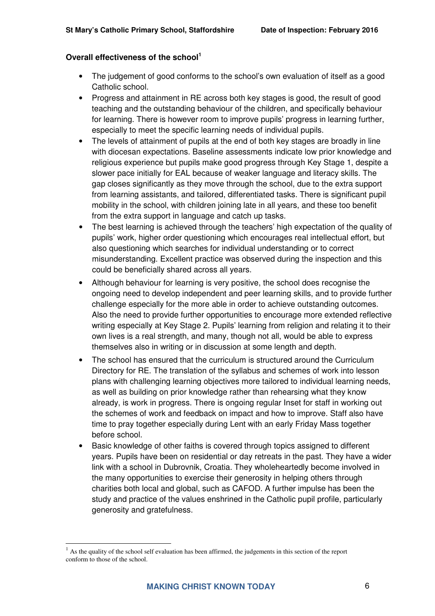#### **Overall effectiveness of the school<sup>1</sup>**

- The judgement of good conforms to the school's own evaluation of itself as a good Catholic school.
- Progress and attainment in RE across both key stages is good, the result of good teaching and the outstanding behaviour of the children, and specifically behaviour for learning. There is however room to improve pupils' progress in learning further, especially to meet the specific learning needs of individual pupils.
- The levels of attainment of pupils at the end of both key stages are broadly in line with diocesan expectations. Baseline assessments indicate low prior knowledge and religious experience but pupils make good progress through Key Stage 1, despite a slower pace initially for EAL because of weaker language and literacy skills. The gap closes significantly as they move through the school, due to the extra support from learning assistants, and tailored, differentiated tasks. There is significant pupil mobility in the school, with children joining late in all years, and these too benefit from the extra support in language and catch up tasks.
- The best learning is achieved through the teachers' high expectation of the quality of pupils' work, higher order questioning which encourages real intellectual effort, but also questioning which searches for individual understanding or to correct misunderstanding. Excellent practice was observed during the inspection and this could be beneficially shared across all years.
- Although behaviour for learning is very positive, the school does recognise the ongoing need to develop independent and peer learning skills, and to provide further challenge especially for the more able in order to achieve outstanding outcomes. Also the need to provide further opportunities to encourage more extended reflective writing especially at Key Stage 2. Pupils' learning from religion and relating it to their own lives is a real strength, and many, though not all, would be able to express themselves also in writing or in discussion at some length and depth.
- The school has ensured that the curriculum is structured around the Curriculum Directory for RE. The translation of the syllabus and schemes of work into lesson plans with challenging learning objectives more tailored to individual learning needs, as well as building on prior knowledge rather than rehearsing what they know already, is work in progress. There is ongoing regular Inset for staff in working out the schemes of work and feedback on impact and how to improve. Staff also have time to pray together especially during Lent with an early Friday Mass together before school.
- Basic knowledge of other faiths is covered through topics assigned to different years. Pupils have been on residential or day retreats in the past. They have a wider link with a school in Dubrovnik, Croatia. They wholeheartedly become involved in the many opportunities to exercise their generosity in helping others through charities both local and global, such as CAFOD. A further impulse has been the study and practice of the values enshrined in the Catholic pupil profile, particularly generosity and gratefulness.

 $\overline{a}$ 

 $<sup>1</sup>$  As the quality of the school self evaluation has been affirmed, the judgements in this section of the report</sup> conform to those of the school.